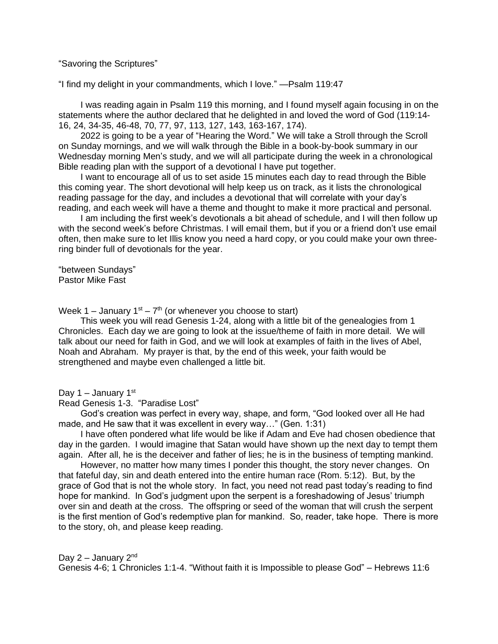"Savoring the Scriptures"

"I find my delight in your commandments, which I love." —Psalm 119:47

I was reading again in Psalm 119 this morning, and I found myself again focusing in on the statements where the author declared that he delighted in and loved the word of God (119:14- 16, 24, 34-35, 46-48, 70, 77, 97, 113, 127, 143, 163-167, 174).

2022 is going to be a year of "Hearing the Word." We will take a Stroll through the Scroll on Sunday mornings, and we will walk through the Bible in a book-by-book summary in our Wednesday morning Men's study, and we will all participate during the week in a chronological Bible reading plan with the support of a devotional I have put together.

I want to encourage all of us to set aside 15 minutes each day to read through the Bible this coming year. The short devotional will help keep us on track, as it lists the chronological reading passage for the day, and includes a devotional that will correlate with your day's reading, and each week will have a theme and thought to make it more practical and personal.

I am including the first week's devotionals a bit ahead of schedule, and I will then follow up with the second week's before Christmas. I will email them, but if you or a friend don't use email often, then make sure to let Illis know you need a hard copy, or you could make your own threering binder full of devotionals for the year.

"between Sundays" Pastor Mike Fast

Week 1 – January 1st –  $7<sup>th</sup>$  (or whenever you choose to start)

This week you will read Genesis 1-24, along with a little bit of the genealogies from 1 Chronicles. Each day we are going to look at the issue/theme of faith in more detail. We will talk about our need for faith in God, and we will look at examples of faith in the lives of Abel, Noah and Abraham. My prayer is that, by the end of this week, your faith would be strengthened and maybe even challenged a little bit.

Day 1 – January  $1<sup>st</sup>$ 

Read Genesis 1-3. "Paradise Lost"

God's creation was perfect in every way, shape, and form, "God looked over all He had made, and He saw that it was excellent in every way…" (Gen. 1:31)

I have often pondered what life would be like if Adam and Eve had chosen obedience that day in the garden. I would imagine that Satan would have shown up the next day to tempt them again. After all, he is the deceiver and father of lies; he is in the business of tempting mankind.

However, no matter how many times I ponder this thought, the story never changes. On that fateful day, sin and death entered into the entire human race (Rom. 5:12). But, by the grace of God that is not the whole story. In fact, you need not read past today's reading to find hope for mankind. In God's judgment upon the serpent is a foreshadowing of Jesus' triumph over sin and death at the cross. The offspring or seed of the woman that will crush the serpent is the first mention of God's redemptive plan for mankind. So, reader, take hope. There is more to the story, oh, and please keep reading.

Day  $2 -$  January  $2<sup>nd</sup>$ Genesis 4-6; 1 Chronicles 1:1-4. "Without faith it is Impossible to please God" – Hebrews 11:6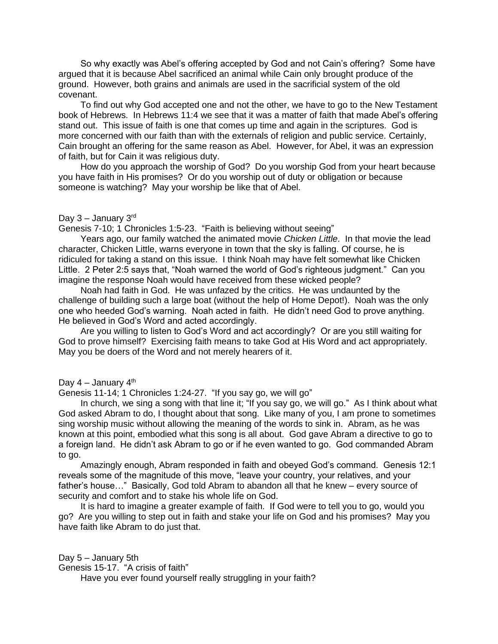So why exactly was Abel's offering accepted by God and not Cain's offering? Some have argued that it is because Abel sacrificed an animal while Cain only brought produce of the ground. However, both grains and animals are used in the sacrificial system of the old covenant.

To find out why God accepted one and not the other, we have to go to the New Testament book of Hebrews. In Hebrews 11:4 we see that it was a matter of faith that made Abel's offering stand out. This issue of faith is one that comes up time and again in the scriptures. God is more concerned with our faith than with the externals of religion and public service. Certainly, Cain brought an offering for the same reason as Abel. However, for Abel, it was an expression of faith, but for Cain it was religious duty.

How do you approach the worship of God? Do you worship God from your heart because you have faith in His promises? Or do you worship out of duty or obligation or because someone is watching? May your worship be like that of Abel.

## Day  $3 -$  January  $3^{\text{rd}}$

Genesis 7-10; 1 Chronicles 1:5-23. "Faith is believing without seeing"

Years ago, our family watched the animated movie *Chicken Little*. In that movie the lead character, Chicken Little, warns everyone in town that the sky is falling. Of course, he is ridiculed for taking a stand on this issue. I think Noah may have felt somewhat like Chicken Little. 2 Peter 2:5 says that, "Noah warned the world of God's righteous judgment." Can you imagine the response Noah would have received from these wicked people?

Noah had faith in God. He was unfazed by the critics. He was undaunted by the challenge of building such a large boat (without the help of Home Depot!). Noah was the only one who heeded God's warning. Noah acted in faith. He didn't need God to prove anything. He believed in God's Word and acted accordingly.

Are you willing to listen to God's Word and act accordingly? Or are you still waiting for God to prove himself? Exercising faith means to take God at His Word and act appropriately. May you be doers of the Word and not merely hearers of it.

Day  $4 -$  January  $4<sup>th</sup>$ 

Genesis 11-14; 1 Chronicles 1:24-27. "If you say go, we will go"

In church, we sing a song with that line it; "If you say go, we will go." As I think about what God asked Abram to do, I thought about that song. Like many of you, I am prone to sometimes sing worship music without allowing the meaning of the words to sink in. Abram, as he was known at this point, embodied what this song is all about. God gave Abram a directive to go to a foreign land. He didn't ask Abram to go or if he even wanted to go. God commanded Abram to go.

Amazingly enough, Abram responded in faith and obeyed God's command. Genesis 12:1 reveals some of the magnitude of this move, "leave your country, your relatives, and your father's house…" Basically, God told Abram to abandon all that he knew – every source of security and comfort and to stake his whole life on God.

It is hard to imagine a greater example of faith. If God were to tell you to go, would you go? Are you willing to step out in faith and stake your life on God and his promises? May you have faith like Abram to do just that.

Day 5 – January 5th Genesis 15-17. "A crisis of faith"

Have you ever found yourself really struggling in your faith?